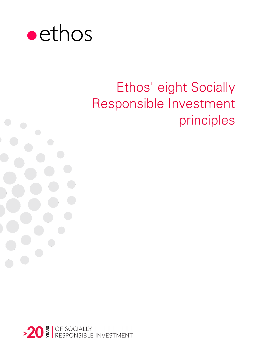

# Ethos' eight Socially Responsible Investment principles

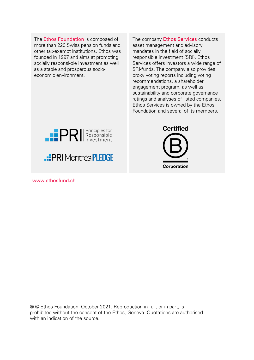The Ethos Foundation is composed of more than 220 Swiss pension funds and other tax-exempt institutions. Ethos was founded in 1997 and aims at promoting socially responsi-ble investment as well as a stable and prosperous socioeconomic environment.

The company **Ethos Services** conducts asset management and advisory mandates in the field of socially responsible investment (SRI). Ethos Services offers investors a wide range of SRI-funds. The company also provides proxy voting reports including voting recommendations, a shareholder engagement program, as well as sustainability and corporate governance ratings and analyses of listed companies. Ethos Services is owned by the Ethos Foundation and several of its members.

**Certified** 

Corporation



www.ethosfund.ch

® © Ethos Foundation, October 2021. Reproduction in full, or in part, is prohibited without the consent of the Ethos, Geneva. Quotations are authorised with an indication of the source.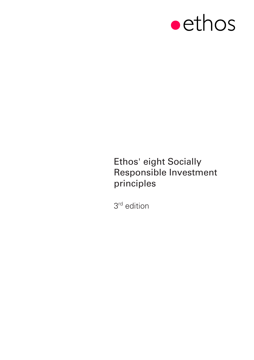

# Ethos' eight Socially Responsible Investment principles

3 <sup>r</sup><sup>d</sup> edition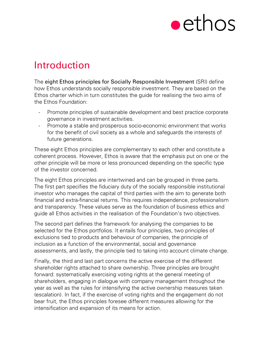

# Introduction

The eight Ethos principles for Socially Responsible Investment (SRI) define how Ethos understands socially responsible investment. They are based on the Ethos charter which in turn constitutes the guide for realising the two aims of the Ethos Foundation:

- Promote principles of sustainable development and best practice corporate governance in investment activities.
- Promote a stable and prosperous socio-economic environment that works for the benefit of civil society as a whole and safeguards the interests of future generations.

These eight Ethos principles are complementary to each other and constitute a coherent process. However, Ethos is aware that the emphasis put on one or the other principle will be more or less pronounced depending on the specific type of the investor concerned.

The eight Ethos principles are intertwined and can be grouped in three parts. The first part specifies the fiduciary duty of the socially responsible institutional investor who manages the capital of third parties with the aim to generate both financial and extra-financial returns. This requires independence, professionalism and transparency. These values serve as the foundation of business ethics and guide all Ethos activities in the realisation of the Foundation's two objectives.

The second part defines the framework for analysing the companies to be selected for the Ethos portfolios. It entails four principles, two principles of exclusions tied to products and behaviour of companies, the principle of inclusion as a function of the environmental, social and governance assessments, and lastly, the principle tied to taking into account climate change.

Finally, the third and last part concerns the active exercise of the different shareholder rights attached to share ownership. Three principles are brought forward: systematically exercising voting rights at the general meeting of shareholders, engaging in dialogue with company management throughout the year as well as the rules for intensifying the active ownership measures taken (escalation). In fact, if the exercise of voting rights and the engagement do not bear fruit, the Ethos principles foresee different measures allowing for the intensification and expansion of its means for action.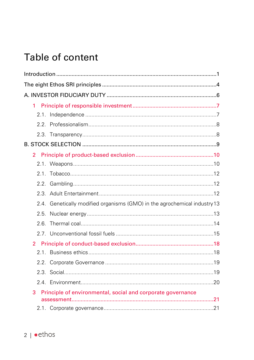# Table of content

| 1                                                                         |  |
|---------------------------------------------------------------------------|--|
|                                                                           |  |
|                                                                           |  |
|                                                                           |  |
|                                                                           |  |
|                                                                           |  |
|                                                                           |  |
|                                                                           |  |
|                                                                           |  |
|                                                                           |  |
| 2.4. Genetically modified organisms (GMO) in the agrochemical industry 13 |  |
|                                                                           |  |
| 2 6                                                                       |  |
|                                                                           |  |
| $\overline{2}$                                                            |  |
|                                                                           |  |
|                                                                           |  |
|                                                                           |  |
|                                                                           |  |
| 3<br>Principle of environmental, social and corporate governance          |  |
|                                                                           |  |
|                                                                           |  |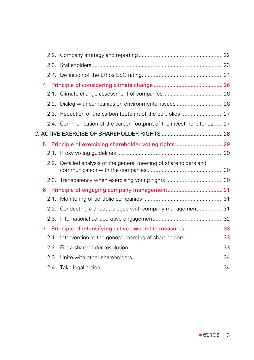| 4  |                                                                        |  |
|----|------------------------------------------------------------------------|--|
|    |                                                                        |  |
|    | 2.2. Dialog with companies on environmental issues  26                 |  |
|    |                                                                        |  |
|    | 2.4. Communication of the carbon footprint of the investment funds  27 |  |
|    |                                                                        |  |
| 5. |                                                                        |  |
|    |                                                                        |  |
|    | 2.2. Detailed analysis of the general meeting of shareholders and      |  |
|    |                                                                        |  |
| 6  |                                                                        |  |
|    |                                                                        |  |
|    | 2.2. Conducting a direct dialogue with company management 31           |  |
|    |                                                                        |  |
| 7  | Principle of intensifying active ownership measures 33                 |  |
|    | 2.1. Intervention at the general meeting of shareholders 33            |  |
|    |                                                                        |  |
|    |                                                                        |  |
|    |                                                                        |  |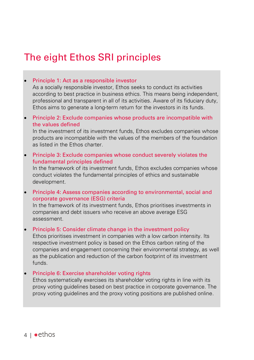# The eight Ethos SRI principles

#### • Principle 1: Act as a responsible investor

As a socially responsible investor, Ethos seeks to conduct its activities according to best practice in business ethics. This means being independent, professional and transparent in all of its activities. Aware of its fiduciary duty, Ethos aims to generate a long-term return for the investors in its funds.

• Principle 2: Exclude companies whose products are incompatible with the values defined

In the investment of its investment funds, Ethos excludes companies whose products are incompatible with the values of the members of the foundation as listed in the Ethos charter.

• Principle 3: Exclude companies whose conduct severely violates the fundamental principles defined

In the framework of its investment funds, Ethos excludes companies whose conduct violates the fundamental principles of ethics and sustainable development.

• Principle 4: Assess companies according to environmental, social and corporate governance (ESG) criteria

In the framework of its investment funds, Ethos prioritises investments in companies and debt issuers who receive an above average ESG assessment.

#### • Principle 5: Consider climate change in the investment policy

Ethos prioritises investment in companies with a low carbon intensity. Its respective investment policy is based on the Ethos carbon rating of the companies and engagement concerning their environmental strategy, as well as the publication and reduction of the carbon footprint of its investment funds.

#### • Principle 6: Exercise shareholder voting rights

Ethos systematically exercises its shareholder voting rights in line with its proxy voting guidelines based on best practice in corporate governance. The proxy voting guidelines and the proxy voting positions are published online.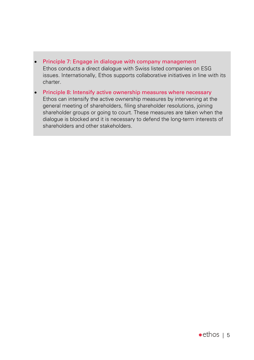- Principle 7: Engage in dialogue with company management Ethos conducts a direct dialogue with Swiss listed companies on ESG issues. Internationally, Ethos supports collaborative initiatives in line with its charter.
- Principle 8: Intensify active ownership measures where necessary Ethos can intensify the active ownership measures by intervening at the general meeting of shareholders, filing shareholder resolutions, joining shareholder groups or going to court. These measures are taken when the dialogue is blocked and it is necessary to defend the long-term interests of shareholders and other stakeholders.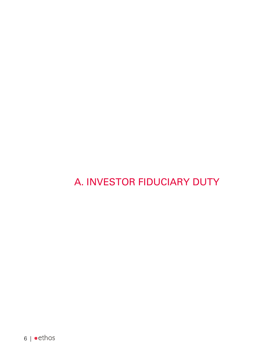# A. INVESTOR FIDUCIARY DUTY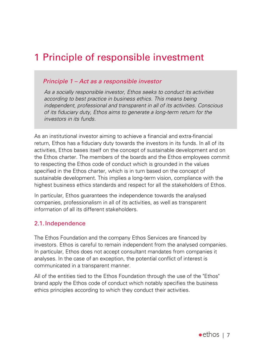# 1 Principle of responsible investment

#### *Principle 1 – Act as a responsible investor*

*As a socially responsible investor, Ethos seeks to conduct its activities according to best practice in business ethics. This means being independent, professional and transparent in all of its activities. Conscious of its fiduciary duty, Ethos aims to generate a long-term return for the investors in its funds.*

As an institutional investor aiming to achieve a financial and extra-financial return, Ethos has a fiduciary duty towards the investors in its funds. In all of its activities, Ethos bases itself on the concept of sustainable development and on the Ethos charter. The members of the boards and the Ethos employees commit to respecting the Ethos code of conduct which is grounded in the values specified in the Ethos charter, which is in turn based on the concept of sustainable development. This implies a long-term vision, compliance with the highest business ethics standards and respect for all the stakeholders of Ethos.

In particular, Ethos guarantees the independence towards the analysed companies, professionalism in all of its activities, as well as transparent information of all its different stakeholders.

# 2.1. Independence

The Ethos Foundation and the company Ethos Services are financed by investors. Ethos is careful to remain independent from the analysed companies. In particular, Ethos does not accept consultant mandates from companies it analyses. In the case of an exception, the potential conflict of interest is communicated in a transparent manner.

All of the entities tied to the Ethos Foundation through the use of the "Ethos" brand apply the Ethos code of conduct which notably specifies the business ethics principles according to which they conduct their activities.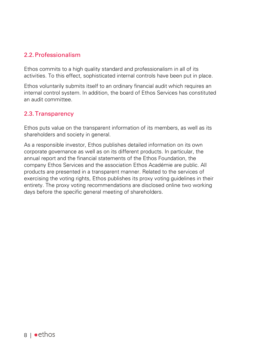# 2.2.Professionalism

Ethos commits to a high quality standard and professionalism in all of its activities. To this effect, sophisticated internal controls have been put in place.

Ethos voluntarily submits itself to an ordinary financial audit which requires an internal control system. In addition, the board of Ethos Services has constituted an audit committee.

# 2.3.Transparency

Ethos puts value on the transparent information of its members, as well as its shareholders and society in general.

As a responsible investor, Ethos publishes detailed information on its own corporate governance as well as on its different products. In particular, the annual report and the financial statements of the Ethos Foundation, the company Ethos Services and the association Ethos Académie are public. All products are presented in a transparent manner. Related to the services of exercising the voting rights, Ethos publishes its proxy voting guidelines in their entirety. The proxy voting recommendations are disclosed online two working days before the specific general meeting of shareholders.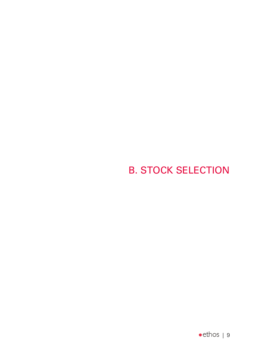# B. STOCK SELECTION

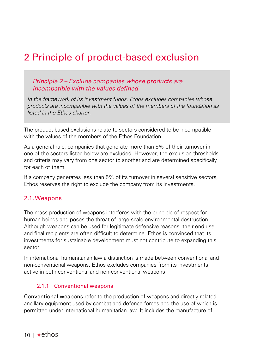# 2 Principle of product-based exclusion

### *Principle 2 – Exclude companies whose products are incompatible with the values defined*

*In the framework of its investment funds, Ethos excludes companies whose products are incompatible with the values of the members of the foundation as listed in the Ethos charter.*

The product-based exclusions relate to sectors considered to be incompatible with the values of the members of the Ethos Foundation.

As a general rule, companies that generate more than 5% of their turnover in one of the sectors listed below are excluded. However, the exclusion thresholds and criteria may vary from one sector to another and are determined specifically for each of them.

If a company generates less than 5% of its turnover in several sensitive sectors, Ethos reserves the right to exclude the company from its investments.

#### 2.1.Weapons

The mass production of weapons interferes with the principle of respect for human beings and poses the threat of large-scale environmental destruction. Although weapons can be used for legitimate defensive reasons, their end use and final recipients are often difficult to determine. Ethos is convinced that its investments for sustainable development must not contribute to expanding this sector.

In international humanitarian law a distinction is made between conventional and non-conventional weapons. Ethos excludes companies from its investments active in both conventional and non-conventional weapons.

#### 2.1.1 Conventional weapons

Conventional weapons refer to the production of weapons and directly related ancillary equipment used by combat and defence forces and the use of which is permitted under international humanitarian law. It includes the manufacture of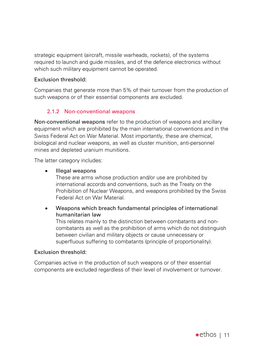strategic equipment (aircraft, missile warheads, rockets), of the systems required to launch and guide missiles, and of the defence electronics without which such military equipment cannot be operated.

#### Exclusion threshold:

Companies that generate more than 5% of their turnover from the production of such weapons or of their essential components are excluded.

# 2.1.2 Non-conventional weapons

Non-conventional weapons refer to the production of weapons and ancillary equipment which are prohibited by the main international conventions and in the Swiss Federal Act on War Material. Most importantly, these are chemical, biological and nuclear weapons, as well as cluster munition, anti-personnel mines and depleted uranium munitions.

The latter category includes:

• Illegal weapons

These are arms whose production and/or use are prohibited by international accords and conventions, such as the Treaty on the Prohibition of Nuclear Weapons, and weapons prohibited by the Swiss Federal Act on War Material.

• Weapons which breach fundamental principles of international humanitarian law

This relates mainly to the distinction between combatants and noncombatants as well as the prohibition of arms which do not distinguish between civilian and military objects or cause unnecessary or superfluous suffering to combatants (principle of proportionality).

# Exclusion threshold:

Companies active in the production of such weapons or of their essential components are excluded regardless of their level of involvement or turnover.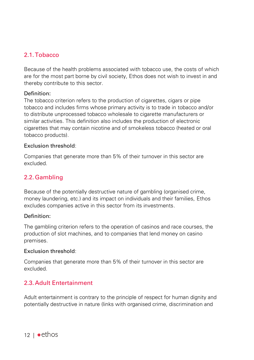# 2.1.Tobacco

Because of the health problems associated with tobacco use, the costs of which are for the most part borne by civil society, Ethos does not wish to invest in and thereby contribute to this sector.

#### Definition:

The tobacco criterion refers to the production of cigarettes, cigars or pipe tobacco and includes firms whose primary activity is to trade in tobacco and/or to distribute unprocessed tobacco wholesale to cigarette manufacturers or similar activities. This definition also includes the production of electronic cigarettes that may contain nicotine and of smokeless tobacco (heated or oral tobacco products).

#### Exclusion threshold:

Companies that generate more than 5% of their turnover in this sector are excluded.

# 2.2.Gambling

Because of the potentially destructive nature of gambling (organised crime, money laundering, etc.) and its impact on individuals and their families, Ethos excludes companies active in this sector from its investments.

#### Definition:

The gambling criterion refers to the operation of casinos and race courses, the production of slot machines, and to companies that lend money on casino premises.

#### Exclusion threshold:

Companies that generate more than 5% of their turnover in this sector are excluded.

# 2.3. Adult Entertainment

Adult entertainment is contrary to the principle of respect for human dignity and potentially destructive in nature (links with organised crime, discrimination and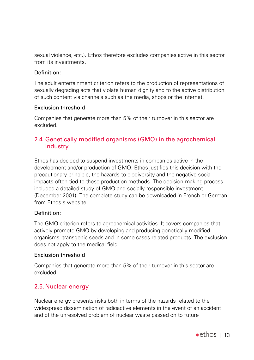sexual violence, etc.). Ethos therefore excludes companies active in this sector from its investments.

#### Definition:

The adult entertainment criterion refers to the production of representations of sexually degrading acts that violate human dignity and to the active distribution of such content via channels such as the media, shops or the internet.

#### Exclusion threshold:

Companies that generate more than 5% of their turnover in this sector are excluded.

# 2.4.Genetically modified organisms (GMO) in the agrochemical industry

Ethos has decided to suspend investments in companies active in the development and/or production of GMO. Ethos justifies this decision with the precautionary principle, the hazards to biodiversity and the negative social impacts often tied to these production methods. The decision-making process included a detailed study of GMO and socially responsible investment (December 2001). The complete study can be downloaded in French or German from Ethos's website.

#### Definition:

The GMO criterion refers to agrochemical activities. It covers companies that actively promote GMO by developing and producing genetically modified organisms, transgenic seeds and in some cases related products. The exclusion does not apply to the medical field.

#### Exclusion threshold:

Companies that generate more than 5% of their turnover in this sector are excluded.

# 2.5.Nuclear energy

Nuclear energy presents risks both in terms of the hazards related to the widespread dissemination of radioactive elements in the event of an accident and of the unresolved problem of nuclear waste passed on to future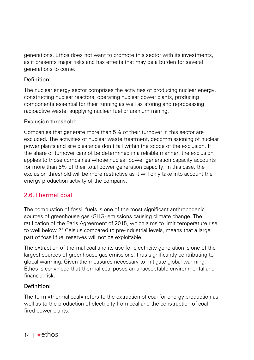generations. Ethos does not want to promote this sector with its investments, as it presents major risks and has effects that may be a burden for several generations to come.

### Definition:

The nuclear energy sector comprises the activities of producing nuclear energy, constructing nuclear reactors, operating nuclear power plants, producing components essential for their running as well as storing and reprocessing radioactive waste, supplying nuclear fuel or uranium mining.

### Exclusion threshold:

Companies that generate more than 5% of their turnover in this sector are excluded. The activities of nuclear waste treatment, decommissioning of nuclear power plants and site clearance don't fall within the scope of the exclusion. If the share of turnover cannot be determined in a reliable manner, the exclusion applies to those companies whose nuclear power generation capacity accounts for more than 5% of their total power generation capacity. In this case, the exclusion threshold will be more restrictive as it will only take into account the energy production activity of the company.

# 2.6.Thermal coal

The combustion of fossil fuels is one of the most significant anthropogenic sources of greenhouse gas (GHG) emissions causing climate change. The ratification of the Paris Agreement of 2015, which aims to limit temperature rise to well below 2° Celsius compared to pre-industrial levels, means that a large part of fossil fuel reserves will not be exploitable.

The extraction of thermal coal and its use for electricity generation is one of the largest sources of greenhouse gas emissions, thus significantly contributing to global warming. Given the measures necessary to mitigate global warming, Ethos is convinced that thermal coal poses an unacceptable environmental and financial risk.

#### Definition:

The term «thermal coal» refers to the extraction of coal for energy production as well as to the production of electricity from coal and the construction of coalfired power plants.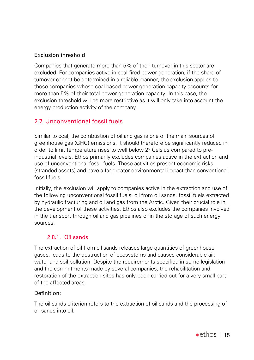# Exclusion threshold:

Companies that generate more than 5% of their turnover in this sector are excluded. For companies active in coal-fired power generation, if the share of turnover cannot be determined in a reliable manner, the exclusion applies to those companies whose coal-based power generation capacity accounts for more than 5% of their total power generation capacity. In this case, the exclusion threshold will be more restrictive as it will only take into account the energy production activity of the company.

# 2.7. Unconventional fossil fuels

Similar to coal, the combustion of oil and gas is one of the main sources of greenhouse gas (GHG) emissions. It should therefore be significantly reduced in order to limit temperature rises to well below 2° Celsius compared to preindustrial levels. Ethos primarily excludes companies active in the extraction and use of unconventional fossil fuels. These activities present economic risks (stranded assets) and have a far greater environmental impact than conventional fossil fuels.

Initially, the exclusion will apply to companies active in the extraction and use of the following unconventional fossil fuels: oil from oil sands, fossil fuels extracted by hydraulic fracturing and oil and gas from the Arctic. Given their crucial role in the development of these activities, Ethos also excludes the companies involved in the transport through oil and gas pipelines or in the storage of such energy sources.

# 2.8.1. Oil sands

The extraction of oil from oil sands releases large quantities of greenhouse gases, leads to the destruction of ecosystems and causes considerable air, water and soil pollution. Despite the requirements specified in some legislation and the commitments made by several companies, the rehabilitation and restoration of the extraction sites has only been carried out for a very small part of the affected areas.

#### Definition:

The oil sands criterion refers to the extraction of oil sands and the processing of oil sands into oil.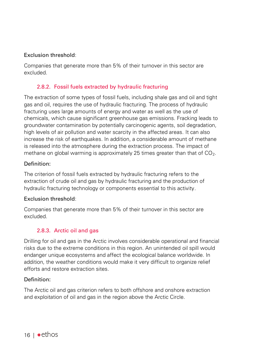### Exclusion threshold:

Companies that generate more than 5% of their turnover in this sector are excluded.

# 2.8.2. Fossil fuels extracted by hydraulic fracturing

The extraction of some types of fossil fuels, including shale gas and oil and tight gas and oil, requires the use of hydraulic fracturing. The process of hydraulic fracturing uses large amounts of energy and water as well as the use of chemicals, which cause significant greenhouse gas emissions. Fracking leads to groundwater contamination by potentially carcinogenic agents, soil degradation, high levels of air pollution and water scarcity in the affected areas. It can also increase the risk of earthquakes. In addition, a considerable amount of methane is released into the atmosphere during the extraction process. The impact of methane on global warming is approximately 25 times greater than that of  $CO<sub>2</sub>$ .

#### Definition:

The criterion of fossil fuels extracted by hydraulic fracturing refers to the extraction of crude oil and gas by hydraulic fracturing and the production of hydraulic fracturing technology or components essential to this activity.

#### Exclusion threshold:

Companies that generate more than 5% of their turnover in this sector are excluded.

# 2.8.3. Arctic oil and gas

Drilling for oil and gas in the Arctic involves considerable operational and financial risks due to the extreme conditions in this region. An unintended oil spill would endanger unique ecosystems and affect the ecological balance worldwide. In addition, the weather conditions would make it very difficult to organize relief efforts and restore extraction sites.

# Definition:

The Arctic oil and gas criterion refers to both offshore and onshore extraction and exploitation of oil and gas in the region above the Arctic Circle.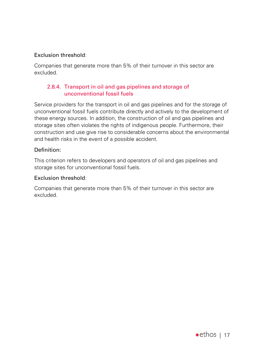### Exclusion threshold:

Companies that generate more than 5% of their turnover in this sector are excluded.

### 2.8.4. Transport in oil and gas pipelines and storage of unconventional fossil fuels

Service providers for the transport in oil and gas pipelines and for the storage of unconventional fossil fuels contribute directly and actively to the development of these energy sources. In addition, the construction of oil and gas pipelines and storage sites often violates the rights of indigenous people. Furthermore, their construction and use give rise to considerable concerns about the environmental and health risks in the event of a possible accident.

#### Definition:

This criterion refers to developers and operators of oil and gas pipelines and storage sites for unconventional fossil fuels.

#### Exclusion threshold:

Companies that generate more than 5% of their turnover in this sector are excluded.

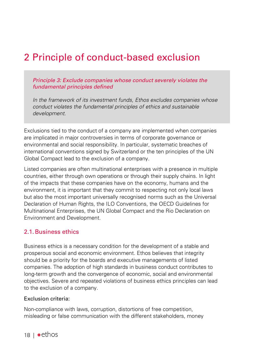# 2 Principle of conduct-based exclusion

*Principle 3: Exclude companies whose conduct severely violates the fundamental principles defined*

*In the framework of its investment funds, Ethos excludes companies whose conduct violates the fundamental principles of ethics and sustainable development.*

Exclusions tied to the conduct of a company are implemented when companies are implicated in major controversies in terms of corporate governance or environmental and social responsibility. In particular, systematic breaches of international conventions signed by Switzerland or the ten principles of the UN Global Compact lead to the exclusion of a company.

Listed companies are often multinational enterprises with a presence in multiple countries, either through own operations or through their supply chains. In light of the impacts that these companies have on the economy, humans and the environment, it is important that they commit to respecting not only local laws but also the most important universally recognised norms such as the Universal Declaration of Human Rights, the ILO Conventions, the OECD Guidelines for Multinational Enterprises, the UN Global Compact and the Rio Declaration on Environment and Development.

### 2.1. Business ethics

Business ethics is a necessary condition for the development of a stable and prosperous social and economic environment. Ethos believes that integrity should be a priority for the boards and executive managements of listed companies. The adoption of high standards in business conduct contributes to long-term growth and the convergence of economic, social and environmental objectives. Severe and repeated violations of business ethics principles can lead to the exclusion of a company.

#### Exclusion criteria:

Non-compliance with laws, corruption, distortions of free competition, misleading or false communication with the different stakeholders, money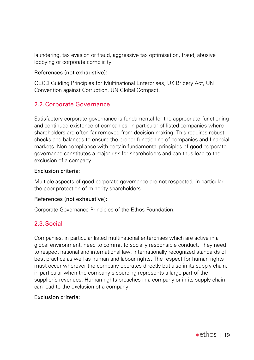laundering, tax evasion or fraud, aggressive tax optimisation, fraud, abusive lobbying or corporate complicity.

#### References (not exhaustive):

OECD Guiding Principles for Multinational Enterprises, UK Bribery Act, UN Convention against Corruption, UN Global Compact.

# 2.2.Corporate Governance

Satisfactory corporate governance is fundamental for the appropriate functioning and continued existence of companies, in particular of listed companies where shareholders are often far removed from decision-making. This requires robust checks and balances to ensure the proper functioning of companies and financial markets. Non-compliance with certain fundamental principles of good corporate governance constitutes a major risk for shareholders and can thus lead to the exclusion of a company.

#### Exclusion criteria:

Multiple aspects of good corporate governance are not respected, in particular the poor protection of minority shareholders.

#### References (not exhaustive):

Corporate Governance Principles of the Ethos Foundation.

# 2.3.Social

Companies, in particular listed multinational enterprises which are active in a global environment, need to commit to socially responsible conduct. They need to respect national and international law, internationally recognized standards of best practice as well as human and labour rights. The respect for human rights must occur wherever the company operates directly but also in its supply chain, in particular when the company's sourcing represents a large part of the supplier's revenues. Human rights breaches in a company or in its supply chain can lead to the exclusion of a company.

#### Exclusion criteria: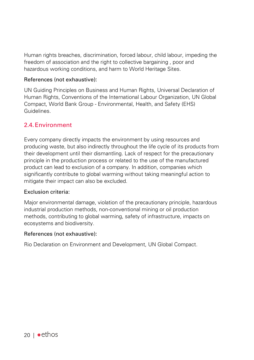Human rights breaches, discrimination, forced labour, child labour, impeding the freedom of association and the right to collective bargaining , poor and hazardous working conditions, and harm to World Heritage Sites.

#### References (not exhaustive):

UN Guiding Principles on Business and Human Rights, Universal Declaration of Human Rights, Conventions of the International Labour Organization, UN Global Compact, World Bank Group - Environmental, Health, and Safety (EHS) Guidelines.

# 2.4.Environment

Every company directly impacts the environment by using resources and producing waste, but also indirectly throughout the life cycle of its products from their development until their dismantling. Lack of respect for the precautionary principle in the production process or related to the use of the manufactured product can lead to exclusion of a company. In addition, companies which significantly contribute to global warming without taking meaningful action to mitigate their impact can also be excluded.

#### Exclusion criteria:

Major environmental damage, violation of the precautionary principle, hazardous industrial production methods, non-conventional mining or oil production methods, contributing to global warming, safety of infrastructure, impacts on ecosystems and biodiversity.

#### References (not exhaustive):

Rio Declaration on Environment and Development, UN Global Compact.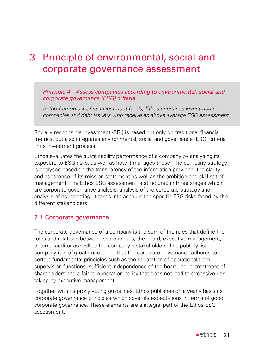# 3 Principle of environmental, social and corporate governance assessment

#### *Principle 4 – Assess companies according to environmental, social and corporate governance (ESG) criteria*

*In the framework of its investment funds, Ethos prioritises investments in companies and debt issuers who receive an above average ESG assessment.*

Socially responsible investment (SRI) is based not only on traditional financial metrics, but also integrates environmental, social and governance (ESG) criteria in its investment process.

Ethos evaluates the sustainability performance of a company by analysing its exposure to ESG risks, as well as how it manages these. The company strategy is analysed based on the transparency of the information provided, the clarity and coherence of its mission statement as well as the ambition and skill set of management. The Ethos ESG assessment is structured in three stages which are corporate governance analysis, analysis of the corporate strategy and analysis of its reporting. It takes into account the specific ESG risks faced by the different stakeholders.

#### 2.1.Corporate governance

The corporate governance of a company is the sum of the rules that define the roles and relations between shareholders, the board, executive management, external auditor as well as the company's stakeholders. In a publicly listed company it is of great importance that the corporate governance adheres to certain fundamental principles such as the separation of operational from supervision functions, sufficient independence of the board, equal treatment of shareholders and a fair remuneration policy that does not lead to excessive risk taking by executive management.

Together with its proxy voting guidelines, Ethos publishes on a yearly basis its corporate governance principles which cover its expectations in terms of good corporate governance. These elements are a integral part of the Ethos ESG assessment.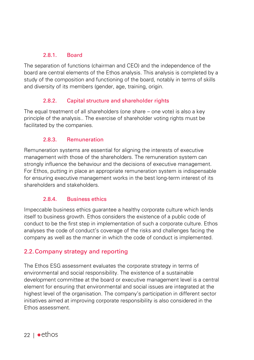### 2.8.1. Board

The separation of functions (chairman and CEO) and the independence of the board are central elements of the Ethos analysis. This analysis is completed by a study of the composition and functioning of the board, notably in terms of skills and diversity of its members (gender, age, training, origin.

### 2.8.2. Capital structure and shareholder rights

The equal treatment of all shareholders (one share – one vote) is also a key principle of the analysis.. The exercise of shareholder voting rights must be facilitated by the companies.

### 2.8.3. Remuneration

Remuneration systems are essential for aligning the interests of executive management with those of the shareholders. The remuneration system can strongly influence the behaviour and the decisions of executive management. For Ethos, putting in place an appropriate remuneration system is indispensable for ensuring executive management works in the best long-term interest of its shareholders and stakeholders.

# 2.8.4. Business ethics

Impeccable business ethics guarantee a healthy corporate culture which lends itself to business growth. Ethos considers the existence of a public code of conduct to be the first step in implementation of such a corporate culture. Ethos analyses the code of conduct's coverage of the risks and challenges facing the company as well as the manner in which the code of conduct is implemented.

# 2.2.Company strategy and reporting

The Ethos ESG assessment evaluates the corporate strategy in terms of environmental and social responsibility. The existence of a sustainable development committee at the board or executive management level is a central element for ensuring that environmental and social issues are integrated at the highest level of the organisation. The company's participation in different sector initiatives aimed at improving corporate responsibility is also considered in the Ethos assessment.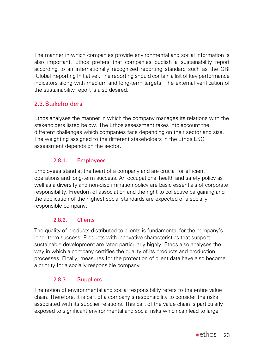The manner in which companies provide environmental and social information is also important. Ethos prefers that companies publish a sustainability report according to an internationally recognized reporting standard such as the GRI (Global Reporting Initiative). The reporting should contain a list of key performance indicators along with medium and long-term targets. The external verification of the sustainability report is also desired.

# 2.3.Stakeholders

Ethos analyses the manner in which the company manages its relations with the stakeholders listed below. The Ethos assessment takes into account the different challenges which companies face depending on their sector and size. The weighting assigned to the different stakeholders in the Ethos ESG assessment depends on the sector.

# 2.8.1. Employees

Employees stand at the heart of a company and are crucial for efficient operations and long-term success. An occupational health and safety policy as well as a diversity and non-discrimination policy are basic essentials of corporate responsibility. Freedom of association and the right to collective bargaining and the application of the highest social standards are expected of a socially responsible company.

# 2.8.2. Clients

The quality of products distributed to clients is fundamental for the company's long- term success. Products with innovative characteristics that support sustainable development are rated particularly highly. Ethos also analyses the way in which a company certifies the quality of its products and production processes. Finally, measures for the protection of client data have also become a priority for a socially responsible company.

# 2.8.3. Suppliers

The notion of environmental and social responsibility refers to the entire value chain. Therefore, it is part of a company's responsibility to consider the risks associated with its supplier relations. This part of the value chain is particularly exposed to significant environmental and social risks which can lead to large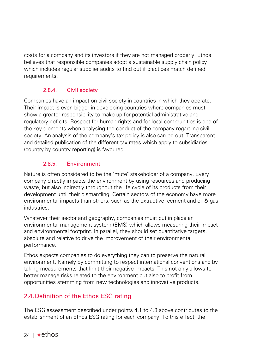costs for a company and its investors if they are not managed properly. Ethos believes that responsible companies adopt a sustainable supply chain policy which includes regular supplier audits to find out if practices match defined requirements.

# 2.8.4. Civil society

Companies have an impact on civil society in countries in which they operate. Their impact is even bigger in developing countries where companies must show a greater responsibility to make up for potential administrative and regulatory deficits. Respect for human rights and for local communities is one of the key elements when analysing the conduct of the company regarding civil society. An analysis of the company's tax policy is also carried out. Transparent and detailed publication of the different tax rates which apply to subsidiaries (country by country reporting) is favoured.

# 2.8.5. Environment

Nature is often considered to be the "mute" stakeholder of a company. Every company directly impacts the environment by using resources and producing waste, but also indirectly throughout the life cycle of its products from their development until their dismantling. Certain sectors of the economy have more environmental impacts than others, such as the extractive, cement and oil & gas industries.

Whatever their sector and geography, companies must put in place an environmental management system (EMS) which allows measuring their impact and environmental footprint. In parallel, they should set quantitative targets, absolute and relative to drive the improvement of their environmental performance.

Ethos expects companies to do everything they can to preserve the natural environment. Namely by committing to respect international conventions and by taking measurements that limit their negative impacts. This not only allows to better manage risks related to the environment but also to profit from opportunities stemming from new technologies and innovative products.

# 2.4. Definition of the Ethos ESG rating

The ESG assessment described under points 4.1 to 4.3 above contributes to the establishment of an Ethos ESG rating for each company. To this effect, the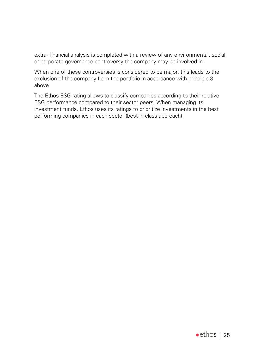extra- financial analysis is completed with a review of any environmental, social or corporate governance controversy the company may be involved in.

When one of these controversies is considered to be major, this leads to the exclusion of the company from the portfolio in accordance with principle 3 above.

The Ethos ESG rating allows to classify companies according to their relative ESG performance compared to their sector peers. When managing its investment funds, Ethos uses its ratings to prioritize investments in the best performing companies in each sector (best-in-class approach).

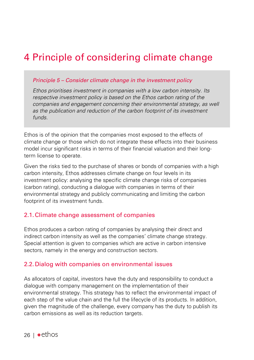# 4 Principle of considering climate change

#### *Principle 5 – Consider climate change in the investment policy*

*Ethos prioritises investment in companies with a low carbon intensity. Its respective investment policy is based on the Ethos carbon rating of the companies and engagement concerning their environmental strategy, as well as the publication and reduction of the carbon footprint of its investment funds.*

Ethos is of the opinion that the companies most exposed to the effects of climate change or those which do not integrate these effects into their business model incur significant risks in terms of their financial valuation and their longterm license to operate.

Given the risks tied to the purchase of shares or bonds of companies with a high carbon intensity, Ethos addresses climate change on four levels in its investment policy: analysing the specific climate change risks of companies (carbon rating), conducting a dialogue with companies in terms of their environmental strategy and publicly communicating and limiting the carbon footprint of its investment funds.

#### 2.1.Climate change assessment of companies

Ethos produces a carbon rating of companies by analysing their direct and indirect carbon intensity as well as the companies' climate change strategy. Special attention is given to companies which are active in carbon intensive sectors, namely in the energy and construction sectors.

#### 2.2. Dialog with companies on environmental issues

As allocators of capital, investors have the duty and responsibility to conduct a dialogue with company management on the implementation of their environmental strategy. This strategy has to reflect the environmental impact of each step of the value chain and the full the lifecycle of its products. In addition, given the magnitude of the challenge, every company has the duty to publish its carbon emissions as well as its reduction targets.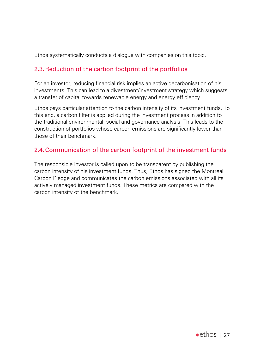Ethos systematically conducts a dialogue with companies on this topic.

# 2.3.Reduction of the carbon footprint of the portfolios

For an investor, reducing financial risk implies an active decarbonisation of his investments. This can lead to a divestment/investment strategy which suggests a transfer of capital towards renewable energy and energy efficiency.

Ethos pays particular attention to the carbon intensity of its investment funds. To this end, a carbon filter is applied during the investment process in addition to the traditional environmental, social and governance analysis. This leads to the construction of portfolios whose carbon emissions are significantly lower than those of their benchmark.

# 2.4.Communication of the carbon footprint of the investment funds

The responsible investor is called upon to be transparent by publishing the carbon intensity of his investment funds. Thus, Ethos has signed the Montreal Carbon Pledge and communicates the carbon emissions associated with all its actively managed investment funds. These metrics are compared with the carbon intensity of the benchmark.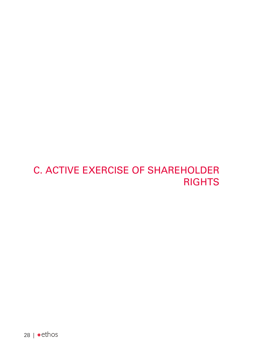# C. ACTIVE EXERCISE OF SHAREHOLDER **RIGHTS**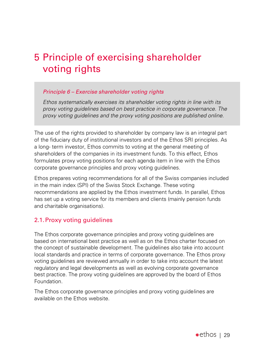# 5 Principle of exercising shareholder voting rights

#### *Principle 6 – Exercise shareholder voting rights*

*Ethos systematically exercises its shareholder voting rights in line with its proxy voting guidelines based on best practice in corporate governance. The proxy voting guidelines and the proxy voting positions are published online.*

The use of the rights provided to shareholder by company law is an integral part of the fiduciary duty of institutional investors and of the Ethos SRI principles. As a long- term investor, Ethos commits to voting at the general meeting of shareholders of the companies in its investment funds. To this effect, Ethos formulates proxy voting positions for each agenda item in line with the Ethos corporate governance principles and proxy voting guidelines.

Ethos prepares voting recommendations for all of the Swiss companies included in the main index (SPI) of the Swiss Stock Exchange. These voting recommendations are applied by the Ethos investment funds. In parallel, Ethos has set up a voting service for its members and clients (mainly pension funds and charitable organisations).

# 2.1.Proxy voting guidelines

The Ethos corporate governance principles and proxy voting guidelines are based on international best practice as well as on the Ethos charter focused on the concept of sustainable development. The guidelines also take into account local standards and practice in terms of corporate governance. The Ethos proxy voting guidelines are reviewed annually in order to take into account the latest regulatory and legal developments as well as evolving corporate governance best practice. The proxy voting guidelines are approved by the board of Ethos Foundation.

The Ethos corporate governance principles and proxy voting guidelines are available on the Ethos website.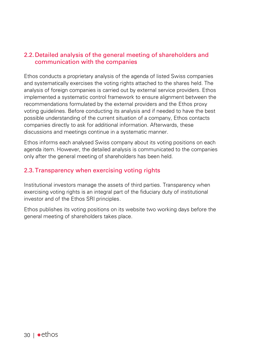# 2.2. Detailed analysis of the general meeting of shareholders and communication with the companies

Ethos conducts a proprietary analysis of the agenda of listed Swiss companies and systematically exercises the voting rights attached to the shares held. The analysis of foreign companies is carried out by external service providers. Ethos implemented a systematic control framework to ensure alignment between the recommendations formulated by the external providers and the Ethos proxy voting guidelines. Before conducting its analysis and if needed to have the best possible understanding of the current situation of a company, Ethos contacts companies directly to ask for additional information. Afterwards, these discussions and meetings continue in a systematic manner.

Ethos informs each analysed Swiss company about its voting positions on each agenda item. However, the detailed analysis is communicated to the companies only after the general meeting of shareholders has been held.

# 2.3.Transparency when exercising voting rights

Institutional investors manage the assets of third parties. Transparency when exercising voting rights is an integral part of the fiduciary duty of institutional investor and of the Ethos SRI principles.

Ethos publishes its voting positions on its website two working days before the general meeting of shareholders takes place.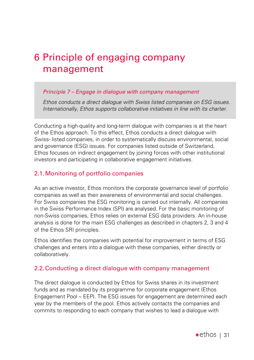# 6 Principle of engaging company management

#### *Principle 7 – Engage in dialogue with company management*

*Ethos conducts a direct dialogue with Swiss listed companies on ESG issues. Internationally, Ethos supports collaborative initiatives in line with its charter.*

Conducting a high-quality and long-term dialogue with companies is at the heart of the Ethos approach. To this effect, Ethos conducts a direct dialogue with Swiss- listed companies, in order to systematically discuss environmental, social and governance (ESG) issues. For companies listed outside of Switzerland, Ethos focuses on indirect engagement by joining forces with other institutional investors and participating in collaborative engagement initiatives.

# 2.1.Monitoring of portfolio companies

As an active investor, Ethos monitors the corporate governance level of portfolio companies as well as their awareness of environmental and social challenges. For Swiss companies the ESG monitoring is carried out internally. All companies in the Swiss Performance Index (SPI) are analysed. For the basic monitoring of non-Swiss companies, Ethos relies on external ESG data providers. An in-house analysis is done for the main ESG challenges as described in chapters 2, 3 and 4 of the Ethos SRI principles.

Ethos identifies the companies with potential for improvement in terms of ESG challenges and enters into a dialogue with these companies, either directly or collaboratively.

# 2.2.Conducting a direct dialogue with company management

The direct dialogue is conducted by Ethos for Swiss shares in its investment funds and as mandated by its programme for corporate engagement (Ethos Engagement Pool – EEP). The ESG issues for engagement are determined each year by the members of the pool. Ethos actively contacts the companies and commits to responding to each company that wishes to lead a dialogue with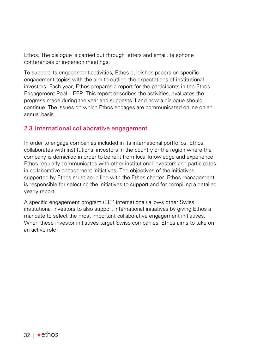Ethos. The dialogue is carried out through letters and email, telephone conferences or in-person meetings.

To support its engagement activities, Ethos publishes papers on specific engagement topics with the aim to outline the expectations of institutional investors. Each year, Ethos prepares a report for the participants in the Ethos Engagement Pool – EEP. This report describes the activities, evaluates the progress made during the year and suggests if and how a dialogue should continue. The issues on which Ethos engages are communicated online on an annual basis.

# 2.3. International collaborative engagement

In order to engage companies included in its international portfolios, Ethos collaborates with institutional investors in the country or the region where the company is domiciled in order to benefit from local knowledge and experience. Ethos regularly communicates with other institutional investors and participates in collaborative engagement initiatives. The objectives of the initiatives supported by Ethos must be in line with the Ethos charter. Ethos management is responsible for selecting the initiatives to support and for compiling a detailed yearly report.

A specific engagement program (EEP international) allows other Swiss institutional investors to also support international initiatives by giving Ethos a mandate to select the most important collaborative engagement initiatives. When these investor initiatives target Swiss companies. Ethos aims to take on an active role.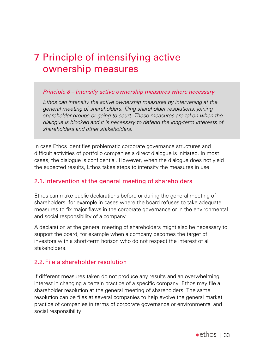# 7 Principle of intensifying active ownership measures

#### *Principle 8 – Intensify active ownership measures where necessary*

*Ethos can intensify the active ownership measures by intervening at the general meeting of shareholders, filing shareholder resolutions, joining shareholder groups or going to court. These measures are taken when the dialogue is blocked and it is necessary to defend the long-term interests of shareholders and other stakeholders.*

In case Ethos identifies problematic corporate governance structures and difficult activities of portfolio companies a direct dialogue is initiated. In most cases, the dialogue is confidential. However, when the dialogue does not yield the expected results, Ethos takes steps to intensify the measures in use.

# 2.1. Intervention at the general meeting of shareholders

Ethos can make public declarations before or during the general meeting of shareholders, for example in cases where the board refuses to take adequate measures to fix major flaws in the corporate governance or in the environmental and social responsibility of a company.

A declaration at the general meeting of shareholders might also be necessary to support the board, for example when a company becomes the target of investors with a short-term horizon who do not respect the interest of all stakeholders.

# 2.2. File a shareholder resolution

If different measures taken do not produce any results and an overwhelming interest in changing a certain practice of a specific company, Ethos may file a shareholder resolution at the general meeting of shareholders. The same resolution can be files at several companies to help evolve the general market practice of companies in terms of corporate governance or environmental and social responsibility.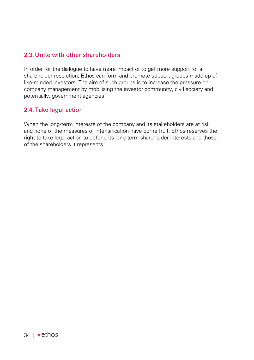# 2.3.Unite with other shareholders

In order for the dialogue to have more impact or to get more support for a shareholder resolution, Ethos can form and promote support groups made up of like-minded investors. The aim of such groups is to increase the pressure on company management by mobilising the investor community, civil society and potentially, government agencies.

# 2.4.Take legal action

When the long-term interests of the company and its stakeholders are at risk and none of the measures of intensification have borne fruit, Ethos reserves the right to take legal action to defend its long-term shareholder interests and those of the shareholders it represents.